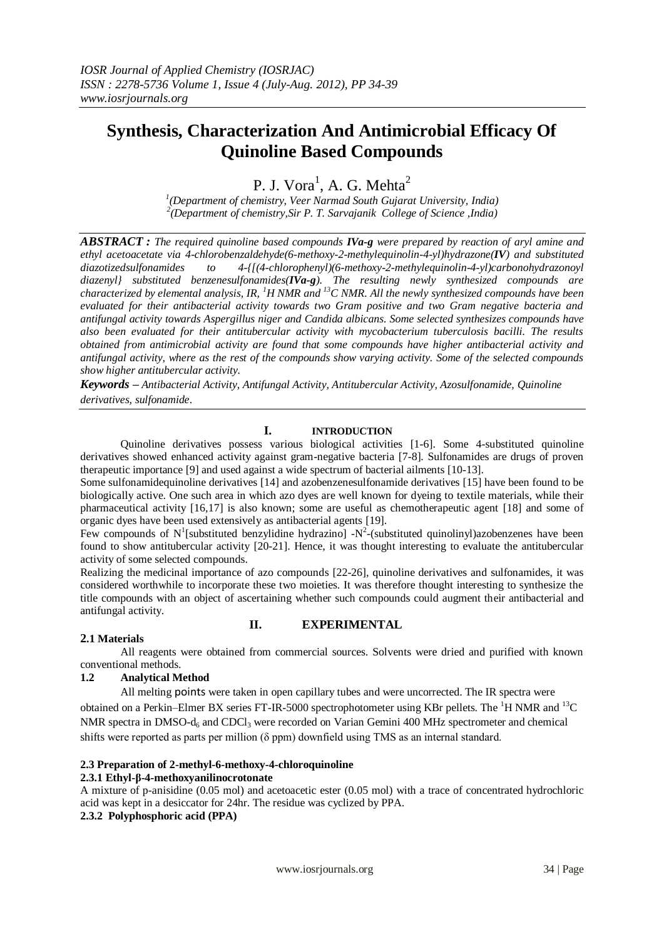# **Synthesis, Characterization And Antimicrobial Efficacy Of Quinoline Based Compounds**

P. J. Vora<sup>1</sup>, A. G. Mehta<sup>2</sup>

*1 (Department of chemistry, Veer Narmad South Gujarat University, India) 2 (Department of chemistry,Sir P. T. Sarvajanik College of Science ,India)*

*ABSTRACT : The required quinoline based compounds IVa-g were prepared by reaction of aryl amine and ethyl acetoacetate via 4-chlorobenzaldehyde(6-methoxy-2-methylequinolin-4-yl)hydrazone(IV) and substituted diazotizedsulfonamides to 4-{[(4-chlorophenyl)(6-methoxy-2-methylequinolin-4-yl)carbonohydrazonoyl diazenyl} substituted benzenesulfonamides(IVa-g). The resulting newly synthesized compounds are characterized by elemental analysis, IR, <sup>1</sup>H NMR and <sup>13</sup>C NMR. All the newly synthesized compounds have been evaluated for their antibacterial activity towards two Gram positive and two Gram negative bacteria and antifungal activity towards Aspergillus niger and Candida albicans. Some selected synthesizes compounds have also been evaluated for their antitubercular activity with mycobacterium tuberculosis bacilli. The results obtained from antimicrobial activity are found that some compounds have higher antibacterial activity and antifungal activity, where as the rest of the compounds show varying activity. Some of the selected compounds show higher antitubercular activity.*

*Keywords – Antibacterial Activity, Antifungal Activity, Antitubercular Activity, Azosulfonamide, Quinoline derivatives, sulfonamide*.

# **I. INTRODUCTION**

Quinoline derivatives possess various biological activities [1-6]. Some 4-substituted quinoline derivatives showed enhanced activity against gram-negative bacteria [7-8]. Sulfonamides are drugs of proven therapeutic importance [9] and used against a wide spectrum of bacterial ailments [10-13].

Some sulfonamidequinoline derivatives [14] and azobenzenesulfonamide derivatives [15] have been found to be biologically active. One such area in which azo dyes are well known for dyeing to textile materials, while their pharmaceutical activity [16,17] is also known; some are useful as chemotherapeutic agent [18] and some of organic dyes have been used extensively as antibacterial agents [19].

Few compounds of  $N^1$ [substituted benzylidine hydrazino] - $N^2$ -(substituted quinolinyl)azobenzenes have been found to show antitubercular activity [20-21]. Hence, it was thought interesting to evaluate the antitubercular activity of some selected compounds.

Realizing the medicinal importance of azo compounds [22-26], quinoline derivatives and sulfonamides, it was considered worthwhile to incorporate these two moieties. It was therefore thought interesting to synthesize the title compounds with an object of ascertaining whether such compounds could augment their antibacterial and antifungal activity.

**II. EXPERIMENTAL**

# **2.1 Materials**

All reagents were obtained from commercial sources. Solvents were dried and purified with known conventional methods.

# **1.2 Analytical Method**

All melting points were taken in open capillary tubes and were uncorrected. The IR spectra were

obtained on a Perkin–Elmer BX series FT-IR-5000 spectrophotometer using KBr pellets. The <sup>1</sup>H NMR and <sup>13</sup>C NMR spectra in DMSO- $d_6$  and CDCl<sub>3</sub> were recorded on Varian Gemini 400 MHz spectrometer and chemical shifts were reported as parts per million (δ ppm) downfield using TMS as an internal standard.

# **2.3 Preparation of 2-methyl-6-methoxy-4-chloroquinoline**

# **2.3.1 Ethyl-β-4-methoxyanilinocrotonate**

A mixture of p-anisidine (0.05 mol) and acetoacetic ester (0.05 mol) with a trace of concentrated hydrochloric acid was kept in a desiccator for 24hr. The residue was cyclized by PPA.

# **2.3.2 Polyphosphoric acid (PPA)**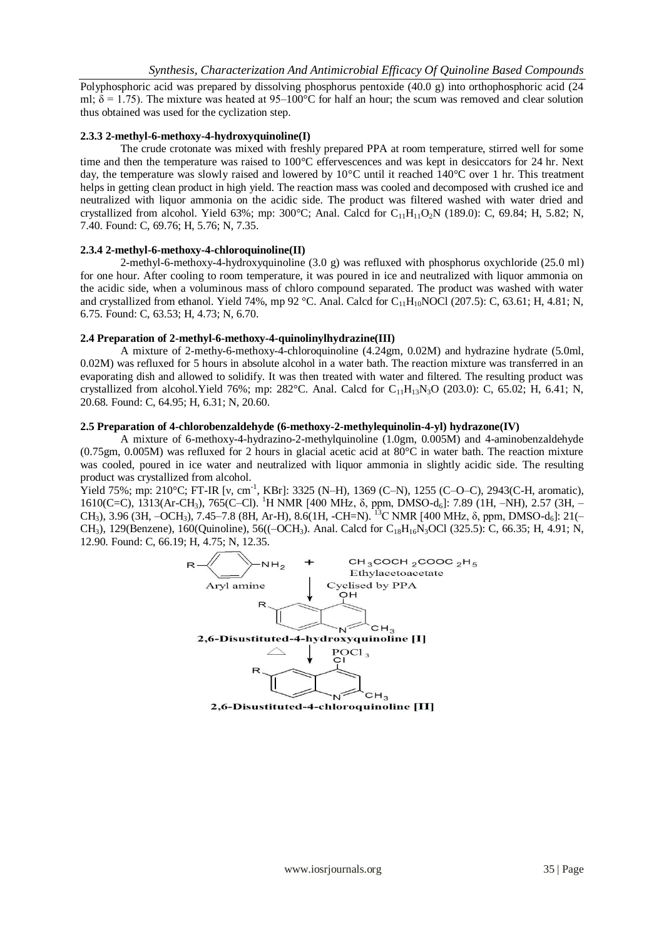Polyphosphoric acid was prepared by dissolving phosphorus pentoxide (40.0 g) into orthophosphoric acid (24 ml;  $\delta$  = 1.75). The mixture was heated at 95–100°C for half an hour; the scum was removed and clear solution thus obtained was used for the cyclization step.

#### **2.3.3 2-methyl-6-methoxy-4-hydroxyquinoline(I)**

The crude crotonate was mixed with freshly prepared PPA at room temperature, stirred well for some time and then the temperature was raised to 100°C effervescences and was kept in desiccators for 24 hr. Next day, the temperature was slowly raised and lowered by 10°C until it reached 140°C over 1 hr. This treatment helps in getting clean product in high yield. The reaction mass was cooled and decomposed with crushed ice and neutralized with liquor ammonia on the acidic side. The product was filtered washed with water dried and crystallized from alcohol. Yield 63%; mp: 300°C; Anal. Calcd for  $C_{11}H_{11}O_2N$  (189.0): C, 69.84; H, 5.82; N, 7.40. Found: C, 69.76; H, 5.76; N, 7.35.

#### **2.3.4 2-methyl-6-methoxy-4-chloroquinoline(II)**

2-methyl-6-methoxy-4-hydroxyquinoline (3.0 g) was refluxed with phosphorus oxychloride (25.0 ml) for one hour. After cooling to room temperature, it was poured in ice and neutralized with liquor ammonia on the acidic side, when a voluminous mass of chloro compound separated. The product was washed with water and crystallized from ethanol. Yield 74%, mp 92 °C. Anal. Calcd for  $C_{11}H_{10}NOCl$  (207.5): C, 63.61; H, 4.81; N, 6.75. Found: C, 63.53; H, 4.73; N, 6.70.

#### **2.4 Preparation of 2-methyl-6-methoxy-4-quinolinylhydrazine(III)**

A mixture of 2-methy-6-methoxy-4-chloroquinoline (4.24gm, 0.02M) and hydrazine hydrate (5.0ml, 0.02M) was refluxed for 5 hours in absolute alcohol in a water bath. The reaction mixture was transferred in an evaporating dish and allowed to solidify. It was then treated with water and filtered. The resulting product was crystallized from alcohol.Yield 76%; mp: 282°C. Anal. Calcd for  $C_{11}H_{13}N_3O$  (203.0): C, 65.02; H, 6.41; N, 20.68. Found: C, 64.95; H, 6.31; N, 20.60.

#### **2.5 Preparation of 4-chlorobenzaldehyde (6-methoxy-2-methylequinolin-4-yl) hydrazone(IV)**

A mixture of 6-methoxy-4-hydrazino-2-methylquinoline (1.0gm, 0.005M) and 4-aminobenzaldehyde (0.75gm, 0.005M) was refluxed for 2 hours in glacial acetic acid at 80°C in water bath. The reaction mixture was cooled, poured in ice water and neutralized with liquor ammonia in slightly acidic side. The resulting product was crystallized from alcohol.

Yield 75%; mp: 210°C; FT-IR [v, cm<sup>-1</sup>, KBr]: 3325 (N-H), 1369 (C-N), 1255 (C-O-C), 2943(C-H, aromatic), 1610(C=C), 1313(Ar-CH<sub>3</sub>), 765(C–Cl). <sup>1</sup>H NMR [400 MHz, δ, ppm, DMSO-d<sub>6</sub>]: 7.89 (1H, –NH), 2.57 (3H, – CH<sub>3</sub>), 3.96 (3H, -OCH<sub>3</sub>), 7.45–7.8 (8H, Ar-H), 8.6(1H, -CH=N). <sup>13</sup>C NMR [400 MHz, δ, ppm, DMSO-d<sub>6</sub>]: 21(-CH<sub>3</sub>), 129(Benzene), 160(Quinoline), 56(( $-OCH_3$ ). Anal. Calcd for C<sub>18</sub>H<sub>16</sub>N<sub>3</sub>OCl (325.5): C, 66.35; H, 4.91; N, 12.90. Found: C, 66.19; H, 4.75; N, 12.35.

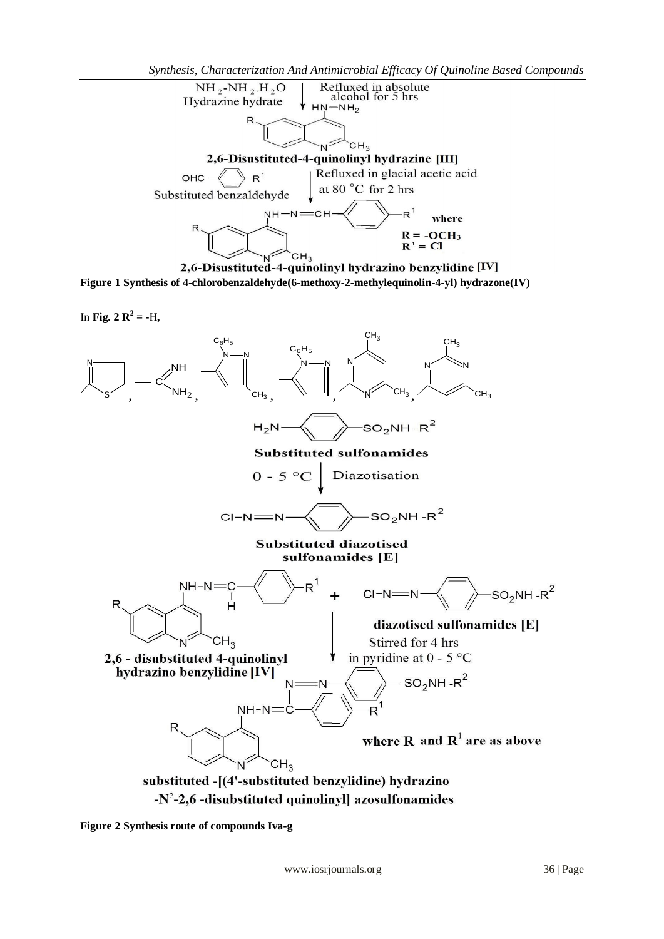*Synthesis, Characterization And Antimicrobial Efficacy Of Quinoline Based Compounds*



2,6-Disustituted-4-quinolinyl hydrazino benzylidine [IV] **Figure 1 Synthesis of 4-chlorobenzaldehyde(6-methoxy-2-methylequinolin-4-yl) hydrazone(IV)**

In Fig. 2  $R^2 = -H$ ,



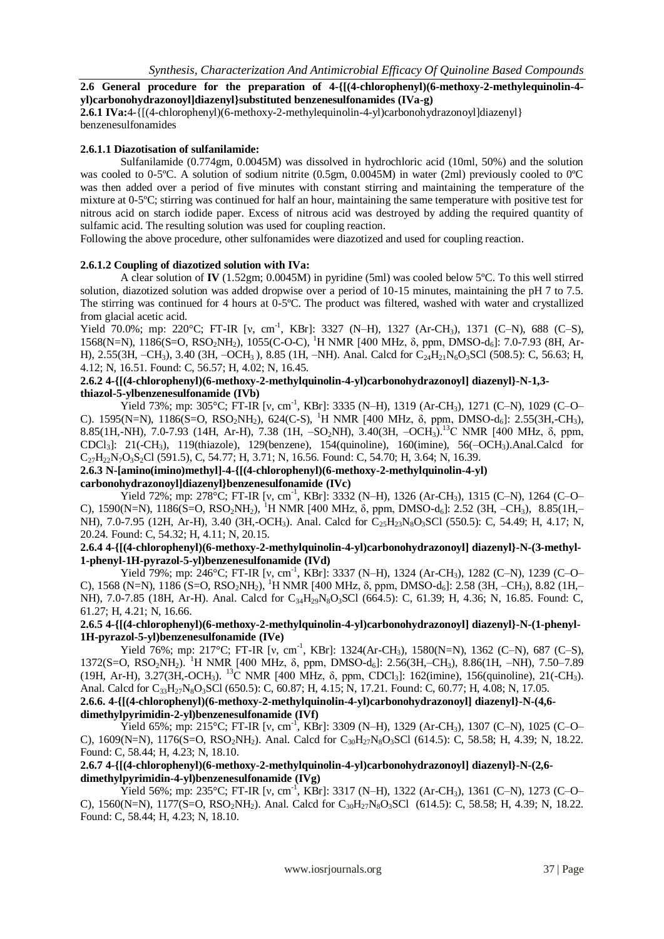**2.6 General procedure for the preparation of 4-{[(4-chlorophenyl)(6-methoxy-2-methylequinolin-4 yl)carbonohydrazonoyl]diazenyl}substituted benzenesulfonamides (IVa-g)**

**2.6.1 IVa:**4-{[(4-chlorophenyl)(6-methoxy-2-methylequinolin-4-yl)carbonohydrazonoyl]diazenyl} benzenesulfonamides

# **2.6.1.1 Diazotisation of sulfanilamide:**

Sulfanilamide (0.774gm, 0.0045M) was dissolved in hydrochloric acid (10ml, 50%) and the solution was cooled to 0-5<sup>o</sup>C. A solution of sodium nitrite (0.5gm, 0.0045M) in water (2ml) previously cooled to 0<sup>o</sup>C was then added over a period of five minutes with constant stirring and maintaining the temperature of the mixture at 0-5ºC; stirring was continued for half an hour, maintaining the same temperature with positive test for nitrous acid on starch iodide paper. Excess of nitrous acid was destroyed by adding the required quantity of sulfamic acid. The resulting solution was used for coupling reaction.

Following the above procedure, other sulfonamides were diazotized and used for coupling reaction.

# **2.6.1.2 Coupling of diazotized solution with IVa:**

A clear solution of **IV** (1.52gm; 0.0045M) in pyridine (5ml) was cooled below 5ºC. To this well stirred solution, diazotized solution was added dropwise over a period of 10-15 minutes, maintaining the pH 7 to 7.5. The stirring was continued for 4 hours at 0-5ºC. The product was filtered, washed with water and crystallized from glacial acetic acid.

Yield 70.0%; mp: 220°C; FT-IR [v, cm<sup>-1</sup>, KBr]: 3327 (N-H), 1327 (Ar-CH<sub>3</sub>), 1371 (C-N), 688 (C-S), 1568(N=N), 1186(S=O, RSO<sub>2</sub>NH<sub>2</sub>), 1055(C-O-C), <sup>1</sup>H NMR [400 MHz, δ, ppm, DMSO-d<sub>6</sub>]: 7.0-7.93 (8H, Ar-H), 2.55(3H, -CH<sub>3</sub>), 3.40 (3H, -OCH<sub>3</sub>), 8.85 (1H, -NH). Anal. Calcd for C<sub>24</sub>H<sub>21</sub>N<sub>6</sub>O<sub>3</sub>SCl (508.5): C, 56.63; H, 4.12; N, 16.51. Found: C, 56.57; H, 4.02; N, 16.45.

# **2.6.2 4-{[(4-chlorophenyl)(6-methoxy-2-methylquinolin-4-yl)carbonohydrazonoyl] diazenyl}-N-1,3 thiazol-5-ylbenzenesulfonamide (IVb)**

Yield 73%; mp: 305°C; FT-IR [v, cm<sup>-1</sup>, KBr]: 3335 (N-H), 1319 (Ar-CH<sub>3</sub>), 1271 (C-N), 1029 (C-O-C). 1595(N=N), 1186(S=O, RSO<sub>2</sub>NH<sub>2</sub>), 624(C-S), <sup>1</sup>H NMR [400 MHz,  $\delta$ , ppm, DMSO-d<sub>6</sub>]: 2.55(3H,-CH<sub>3</sub>), 8.85(1H,-NH), 7.0-7.93 (14H, Ar-H), 7.38 (1H, –SO<sub>2</sub>NH), 3.40(3H, –OCH<sub>3</sub>).<sup>13</sup>C NMR [400 MHz, δ, ppm, CDCl3]: 21(-CH3), 119(thiazole), 129(benzene), 154(quinoline), 160(imine), 56(–OCH3).Anal.Calcd for  $C_{27}H_{22}N_7O_3S_2Cl$  (591.5), C, 54.77; H, 3.71; N, 16.56. Found: C, 54.70; H, 3.64; N, 16.39.

# **2.6.3 N-[amino(imino)methyl]-4-{[(4-chlorophenyl)(6-methoxy-2-methylquinolin-4-yl) carbonohydrazonoyl]diazenyl}benzenesulfonamide (IVc)**

Yield 72%; mp: 278°C; FT-IR [v, cm<sup>-1</sup>, KBr]: 3332 (N-H), 1326 (Ar-CH<sub>3</sub>), 1315 (C-N), 1264 (C-O-C), 1590(N=N), 1186(S=O, RSO<sub>2</sub>NH<sub>2</sub>), <sup>1</sup>H NMR [400 MHz,  $\delta$ , ppm, DMSO-d<sub>6</sub>]: 2.52 (3H, –CH<sub>3</sub>), 8.85(1H,– NH), 7.0-7.95 (12H, Ar-H), 3.40 (3H,-OCH<sub>3</sub>). Anal. Calcd for C<sub>25</sub>H<sub>23</sub>N<sub>8</sub>O<sub>3</sub>SCl (550.5): C, 54.49; H, 4.17; N, 20.24. Found: C, 54.32; H, 4.11; N, 20.15.

# **2.6.4 4-{[(4-chlorophenyl)(6-methoxy-2-methylquinolin-4-yl)carbonohydrazonoyl] diazenyl}-N-(3-methyl-1-phenyl-1H-pyrazol-5-yl)benzenesulfonamide (IVd)**

Yield 79%; mp: 246°C; FT-IR [v, cm<sup>-1</sup>, KBr]: 3337 (N-H), 1324 (Ar-CH<sub>3</sub>), 1282 (C-N), 1239 (C-O-C), 1568 (N=N), 1186 (S=O, RSO<sub>2</sub>NH<sub>2</sub>), <sup>1</sup>H NMR [400 MHz,  $\delta$ , ppm, DMSO-d<sub>6</sub>]: 2.58 (3H, –CH<sub>3</sub>), 8.82 (1H,– NH), 7.0-7.85 (18H, Ar-H). Anal. Calcd for C<sub>34</sub>H<sub>29</sub>N<sub>8</sub>O<sub>3</sub>SCl (664.5): C, 61.39; H, 4.36; N, 16.85. Found: C, 61.27; H, 4.21; N, 16.66.

# **2.6.5 4-{[(4-chlorophenyl)(6-methoxy-2-methylquinolin-4-yl)carbonohydrazonoyl] diazenyl}-N-(1-phenyl-1H-pyrazol-5-yl)benzenesulfonamide (IVe)**

Yield 76%; mp: 217°C; FT-IR [v, cm<sup>-1</sup>, KBr]: 1324(Ar-CH<sub>3</sub>), 1580(N=N), 1362 (C-N), 687 (C-S), 1372(S=O, RSO<sub>2</sub>NH<sub>2</sub>). <sup>1</sup>H NMR [400 MHz, δ, ppm, DMSO-d<sub>6</sub>]: 2.56(3H,–CH<sub>3</sub>), 8.86(1H, –NH), 7.50–7.89 (19H, Ar-H),  $3.27(3H, -OCH_3)$ . <sup>13</sup>C NMR [400 MHz,  $\delta$ , ppm, CDCl<sub>3</sub>]: 162(imine), 156(quinoline), 21(-CH<sub>3</sub>). Anal. Calcd for C<sub>33</sub>H<sub>27</sub>N<sub>8</sub>O<sub>3</sub>SCl (650.5): C, 60.87; H, 4.15; N, 17.21. Found: C, 60.77; H, 4.08; N, 17.05. **2.6.6. 4-{[(4-chlorophenyl)(6-methoxy-2-methylquinolin-4-yl)carbonohydrazonoyl] diazenyl}-N-(4,6 dimethylpyrimidin-2-yl)benzenesulfonamide (IVf)**

Yield 65%; mp: 215°C; FT-IR [v, cm<sup>-1</sup>, KBr]: 3309 (N-H), 1329 (Ar-CH<sub>3</sub>), 1307 (C-N), 1025 (C-O-C),  $1609(N=N)$ ,  $1176(S=O, RSO<sub>2</sub>NH<sub>2</sub>)$ . Anal. Calcd for  $C<sub>30</sub>H<sub>27</sub>N<sub>8</sub>O<sub>3</sub>SCl$  (614.5): C, 58.58; H, 4.39; N, 18.22. Found: C, 58.44; H, 4.23; N, 18.10.

#### **2.6.7 4-{[(4-chlorophenyl)(6-methoxy-2-methylquinolin-4-yl)carbonohydrazonoyl] diazenyl}-N-(2,6 dimethylpyrimidin-4-yl)benzenesulfonamide (IVg)**

Yield 56%; mp: 235°C; FT-IR [v, cm<sup>-1</sup>, KBr]: 3317 (N-H), 1322 (Ar-CH<sub>3</sub>), 1361 (C-N), 1273 (C-O-C),  $1560(N=N)$ ,  $1177(S=O, RSO<sub>2</sub>NH<sub>2</sub>)$ . Anal. Calcd for  $C<sub>30</sub>H<sub>27</sub>N<sub>8</sub>O<sub>3</sub>Cl$  (614.5): C, 58.58; H, 4.39; N, 18.22. Found: C, 58.44; H, 4.23; N, 18.10.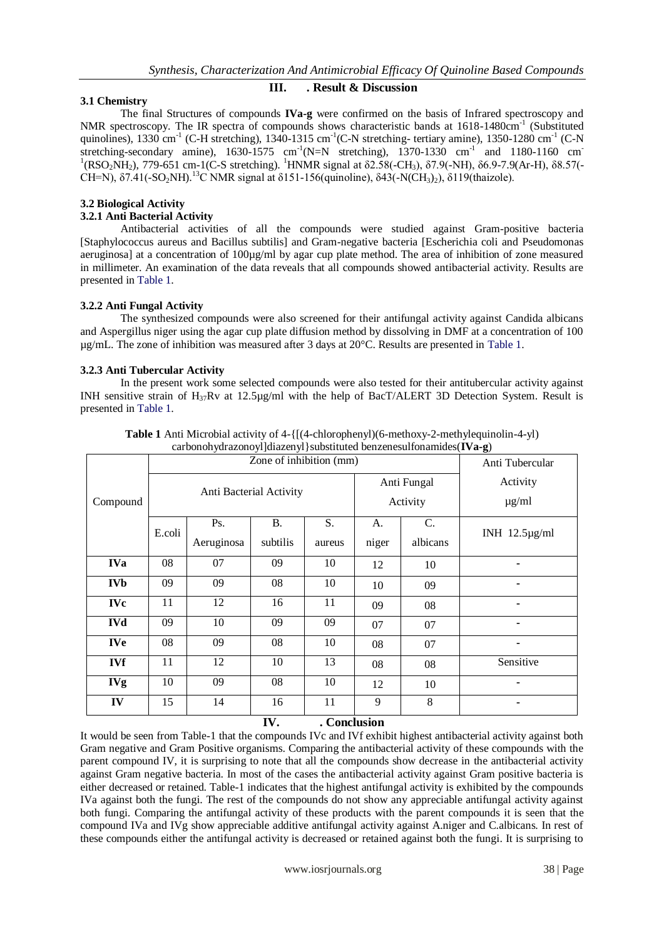#### **III. . Result & Discussion**

#### **3.1 Chemistry**

The final Structures of compounds **IVa-g** were confirmed on the basis of Infrared spectroscopy and NMR spectroscopy. The IR spectra of compounds shows characteristic bands at 1618-1480cm<sup>-1</sup> (Substituted quinolines), 1330 cm<sup>-1</sup> (C-H stretching), 1340-1315 cm<sup>-1</sup>(C-N stretching- tertiary amine), 1350-1280 cm<sup>-1</sup> (C-N stretching-secondary amine),  $1630-1575$  cm<sup>-1</sup>(N=N stretching),  $1370-1330$  cm<sup>-1</sup> and  $1180-1160$  cm<sup>-1</sup> <sup>1</sup>(RSO<sub>2</sub>NH<sub>2</sub>), 779-651 cm-1(C-S stretching). <sup>1</sup>HNMR signal at δ2.58(-CH<sub>3</sub>), δ7.9(-NH), δ6.9-7.9(Ar-H), δ8.57(-CH=N),  $\delta$ 7.41(-SO<sub>2</sub>NH).<sup>13</sup>C NMR signal at  $\delta$ 151-156(quinoline),  $\delta$ 43(-N(CH<sub>3</sub>)<sub>2</sub>),  $\delta$ 119(thaizole).

# **3.2 Biological Activity**

# **3.2.1 Anti Bacterial Activity**

Antibacterial activities of all the compounds were studied against Gram-positive bacteria [Staphylococcus aureus and Bacillus subtilis] and Gram-negative bacteria [Escherichia coli and Pseudomonas aeruginosa] at a concentration of 100µg/ml by agar cup plate method. The area of inhibition of zone measured in millimeter. An examination of the data reveals that all compounds showed antibacterial activity. Results are presented in Table 1.

#### **3.2.2 Anti Fungal Activity**

The synthesized compounds were also screened for their antifungal activity against Candida albicans and Aspergillus niger using the agar cup plate diffusion method by dissolving in DMF at a concentration of 100  $\mu$ g/mL. The zone of inhibition was measured after 3 days at 20 $\degree$ C. Results are presented in Table 1.

#### **3.2.3 Anti Tubercular Activity**

In the present work some selected compounds were also tested for their antitubercular activity against INH sensitive strain of  $H_{37}Rv$  at 12.5µg/ml with the help of BacT/ALERT 3D Detection System. Result is presented in Table 1.

|            | Zone of inhibition (mm) |                   |                       |              |                         |                | Anti Tubercular        |
|------------|-------------------------|-------------------|-----------------------|--------------|-------------------------|----------------|------------------------|
| Compound   | Anti Bacterial Activity |                   |                       |              | Anti Fungal<br>Activity |                | Activity<br>$\mu$ g/ml |
|            | E.coli                  | Ps.<br>Aeruginosa | <b>B.</b><br>subtilis | S.<br>aureus | A.<br>niger             | C.<br>albicans | INH $12.5\mu$ g/ml     |
| <b>IVa</b> | 08                      | 07                | 09                    | 10           | 12                      | 10             |                        |
| <b>IVb</b> | 09                      | 09                | 08                    | 10           | 10                      | 09             |                        |
| <b>IVc</b> | 11                      | 12                | 16                    | 11           | 09                      | 08             | ۰                      |
| <b>IVd</b> | 09                      | 10                | 09                    | 09           | 07                      | 07             | ۰                      |
| <b>IVe</b> | 08                      | 09                | 08                    | 10           | 08                      | 07             |                        |
| <b>IVf</b> | 11                      | 12                | 10                    | 13           | 08                      | 08             | Sensitive              |
| <b>IVg</b> | 10                      | 09                | 08                    | 10           | 12                      | 10             |                        |
| IV         | 15                      | 14                | 16                    | 11           | 9                       | 8              | ۰                      |

| Table 1 Anti Microbial activity of 4-{[(4-chlorophenyl)(6-methoxy-2-methylequinolin-4-yl) |  |
|-------------------------------------------------------------------------------------------|--|
| carbonohydrazonoyl]diazenyl}substituted benzenesulfonamides $(Va-g)$                      |  |

# **IV. . Conclusion**

It would be seen from Table-1 that the compounds IVc and IVf exhibit highest antibacterial activity against both Gram negative and Gram Positive organisms. Comparing the antibacterial activity of these compounds with the parent compound IV, it is surprising to note that all the compounds show decrease in the antibacterial activity against Gram negative bacteria. In most of the cases the antibacterial activity against Gram positive bacteria is either decreased or retained. Table-1 indicates that the highest antifungal activity is exhibited by the compounds IVa against both the fungi. The rest of the compounds do not show any appreciable antifungal activity against both fungi. Comparing the antifungal activity of these products with the parent compounds it is seen that the compound IVa and IVg show appreciable additive antifungal activity against A.niger and C.albicans. In rest of these compounds either the antifungal activity is decreased or retained against both the fungi. It is surprising to